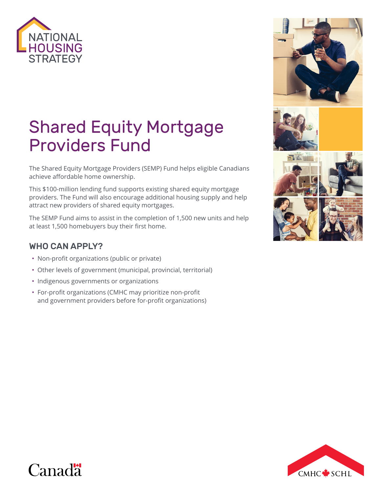

# Shared Equity Mortgage Providers Fund

The Shared Equity Mortgage Providers (SEMP) Fund helps eligible Canadians achieve affordable home ownership.

This \$100-million lending fund supports existing shared equity mortgage providers. The Fund will also encourage additional housing supply and help attract new providers of shared equity mortgages.

The SEMP Fund aims to assist in the completion of 1,500 new units and help at least 1,500 homebuyers buy their first home.

#### WHO CAN APPLY?

- Non-profit organizations (public or private)
- Other levels of government (municipal, provincial, territorial)
- Indigenous governments or organizations
- For-profit organizations (CMHC may prioritize non-profit and government providers before for-profit organizations)





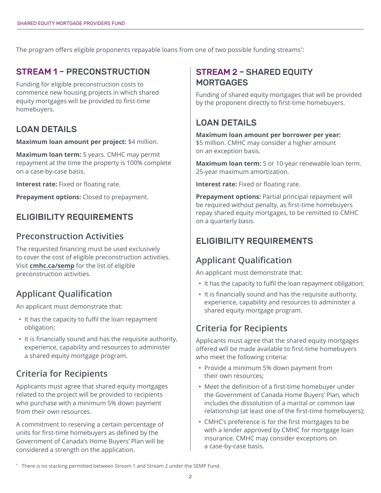The program offers eligible proponents repayable loans from one of two possible funding streams\* :

#### STREAM 1 – PRECONSTRUCTION

Funding for eligible preconstruction costs to commence new housing projects in which shared equity mortgages will be provided to first-time homebuyers.

#### LOAN DETAILS

**Maximum loan amount per project:** \$4 million.

**Maximum loan term:** 5 years. CMHC may permit repayment at the time the property is 100% complete on a case-by-case basis.

**Interest rate:** Fixed or floating rate.

**Prepayment options:** Closed to prepayment.

#### ELIGIBILITY REQUIREMENTS

#### **Preconstruction Activities**

The requested financing must be used exclusively to cover the cost of eligible preconstruction activities. Visit **[cmhc.ca/semp](http://www.cmhc.ca/semp)** for the list of eligible preconstruction activities.

# **Applicant Qualification**

An applicant must demonstrate that:

- It has the capacity to fulfil the loan repayment obligation;
- It is financially sound and has the requisite authority, experience, capability and resources to administer a shared equity mortgage program.

# **Criteria for Recipients**

Applicants must agree that shared equity mortgages related to the project will be provided to recipients who purchase with a minimum 5% down payment from their own resources.

A commitment to reserving a certain percentage of units for first-time homebuyers as defined by the Government of Canada's Home Buyers' Plan will be considered a strength on the application.

#### STREAM 2 – SHARED EQUITY **MORTGAGES**

Funding of shared equity mortgages that will be provided by the proponent directly to first-time homebuyers.

## LOAN DETAILS

**Maximum loan amount per borrower per year:**  \$5 million. CMHC may consider a higher amount on an exception basis.

**Maximum loan term:** 5 or 10-year renewable loan term. 25-year maximum amortization.

**Interest rate:** Fixed or floating rate.

**Prepayment options: Partial principal repayment will** be required without penalty, as first-time homebuyers repay shared equity mortgages, to be remitted to CMHC on a quarterly basis.

## ELIGIBILITY REQUIREMENTS

# **Applicant Qualification**

An applicant must demonstrate that:

- It has the capacity to fulfil the loan repayment obligation;
- It is financially sound and has the requisite authority, experience, capability and resources to administer a shared equity mortgage program.

## **Criteria for Recipients**

Applicants must agree that the shared equity mortgages offered will be made available to first-time homebuyers who meet the following criteria:

- Provide a minimum 5% down payment from their own resources;
- Meet the definition of a first-time homebuyer under the Government of Canada Home Buyers' Plan, which includes the dissolution of a marital or common law relationship (at least one of the first-time homebuyers);
- CMHC's preference is for the first mortgages to be with a lender approved by CMHC for mortgage loan insurance. CMHC may consider exceptions on a case-by-case basis.

<sup>\*</sup> There is no stacking permitted between Stream 1 and Stream 2 under the SEMP Fund.